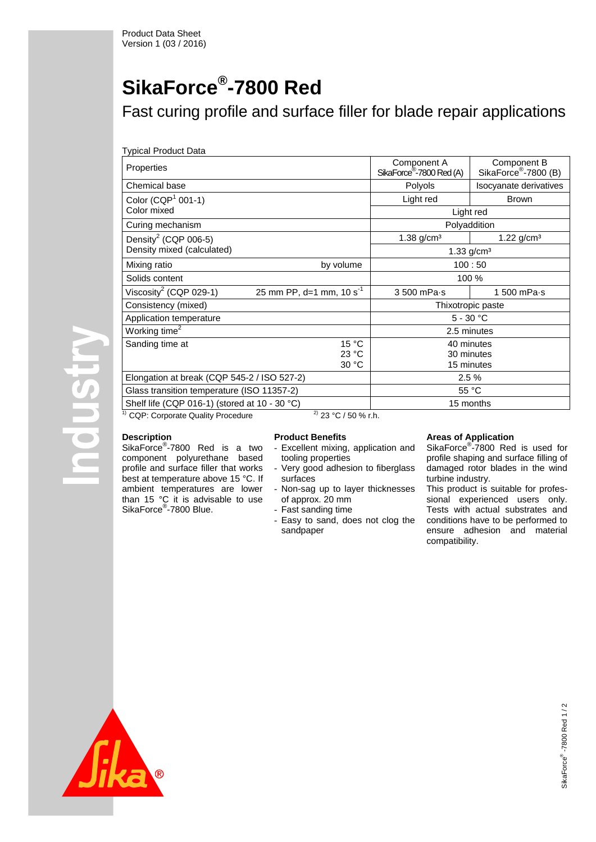# **SikaForce® -7800 Red**

Fast curing profile and surface filler for blade repair applications

| Typical Product Data                          |                               |                                                     |                                                 |
|-----------------------------------------------|-------------------------------|-----------------------------------------------------|-------------------------------------------------|
| Properties                                    |                               | Component A<br>SikaForce <sup>®</sup> -7800 Red (A) | Component B<br>SikaForce <sup>®</sup> -7800 (B) |
| Chemical base                                 |                               | Polyols                                             | Isocyanate derivatives                          |
| Color (CQP $1$ 001-1)                         |                               | Light red                                           | <b>Brown</b>                                    |
| Color mixed                                   |                               | Light red                                           |                                                 |
| Curing mechanism                              |                               | Polyaddition                                        |                                                 |
| Density <sup>2</sup> (CQP 006-5)              |                               | $1.38$ g/cm <sup>3</sup>                            | $1.22$ g/cm <sup>3</sup>                        |
| Density mixed (calculated)                    |                               | $1.33$ g/cm <sup>3</sup>                            |                                                 |
| Mixing ratio                                  | by volume                     | 100:50                                              |                                                 |
| Solids content                                |                               | 100 %                                               |                                                 |
| Viscosity <sup>2</sup> (CQP 029-1)            | 25 mm PP, d=1 mm, $10 s^{-1}$ | 3 500 mPa-s                                         | 1 500 mPa-s                                     |
| Consistency (mixed)                           |                               | Thixotropic paste                                   |                                                 |
| Application temperature                       |                               | $5 - 30 °C$                                         |                                                 |
| Working time <sup>2</sup>                     |                               |                                                     | 2.5 minutes                                     |
| Sanding time at                               | 15 °C                         | 40 minutes                                          |                                                 |
|                                               | 23 °C                         | 30 minutes                                          |                                                 |
|                                               | 30 °C                         |                                                     | 15 minutes                                      |
| Elongation at break (CQP 545-2 / ISO 527-2)   |                               | 2.5%                                                |                                                 |
| Glass transition temperature (ISO 11357-2)    |                               | 55 °C                                               |                                                 |
| Shelf life (CQP 016-1) (stored at 10 - 30 °C) |                               | 15 months                                           |                                                 |
| <b>CQP: Corporate Quality Procedure</b>       | $^{2)}$ 23 °C / 50 % r.h.     |                                                     |                                                 |

|  | <b>Description</b> |
|--|--------------------|

SikaForce<sup>®</sup>-7800 Red is a two component polyurethane based profile and surface filler that works best at temperature above 15 °C. If ambient temperatures are lower than 15 °C it is advisable to use SikaForce<sup>®</sup>-7800 Blue.

## **Product Benefits**

- Excellent mixing, application and tooling properties
- Very good adhesion to fiberglass surfaces
- Non-sag up to layer thicknesses of approx. 20 mm
- Fast sanding time
- Easy to sand, does not clog the sandpaper

# **Areas of Application**

SikaForce® -7800 Red is used for profile shaping and surface filling of damaged rotor blades in the wind turbine industry.

This product is suitable for professional experienced users only. Tests with actual substrates and conditions have to be performed to ensure adhesion and material compatibility.